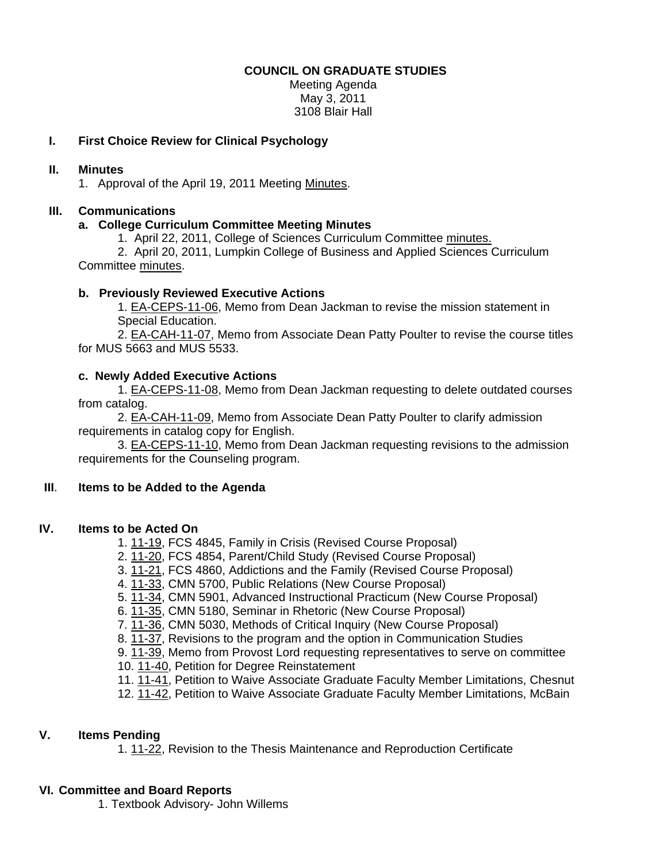#### **COUNCIL ON GRADUATE STUDIES**

Meeting Agenda May 3, 2011 3108 Blair Hall

# **I. First Choice Review for Clinical Psychology**

## **II. Minutes**

1. Approval of the April 19, 2011 Meetin[g Minutes.](http://castle.eiu.edu/~eiucgs/currentminutes/Minutes4-19-11.pdf) 

## **III. Communications**

## **a. College Curriculum Committee Meeting Minutes**

1. April 22, 2011, College of Sciences Curriculum Committ[ee minutes.](http://castle.eiu.edu/~eiucgs/currentagendaitems/COSMin4-22-11.pdf)

 2. April 20, 2011, Lumpkin College of Business and Applied Sciences Curriculum Committ[ee minutes.](http://castle.eiu.edu/~eiucgs/currentagendaitems/LCBASMin4-20-11.pdf) 

## **b. Previously Reviewed Executive Actions**

1. [EA-CEPS-11-06, Me](http://castle.eiu.edu/~eiucgs/exec-actions/EA-CEPS-11-06.pdf)mo from Dean Jackman to revise the mission statement in Special Education.

[2. EA-CAH-11-07, Me](http://castle.eiu.edu/~eiucgs/exec-actions/EA-CAH-11-07.pdf)mo from Associate Dean Patty Poulter to revise the course titles for MUS 5663 and MUS 5533.

## **c. Newly Added Executive Actions**

 [1. EA-CEPS-11-08,](http://castle.eiu.edu/~eiucgs/exec-actions/EA-CEPS-11-08.pdf) Memo from Dean Jackman requesting to delete outdated courses from catalog.

 [2. EA-CAH-11-09,](http://castle.eiu.edu/~eiucgs/exec-actions/EA-CAH-11-09.pdf) Memo from Associate Dean Patty Poulter to clarify admission requirements in catalog copy for English.

 [3. EA-CEPS-11-10, Me](http://castle.eiu.edu/~eiucgs/exec-actions/EA-CEPS-11-10.pdf)mo from Dean Jackman requesting revisions to the admission requirements for the Counseling program.

## **III**. **Items to be Added to the Agenda**

## **IV. Items to be Acted On**

1[. 11-19, F](http://castle.eiu.edu/~eiucgs/currentagendaitems/agenda11-19.pdf)CS 4845, Family in Crisis (Revised Course Proposal)

- 2[. 11-20, F](http://castle.eiu.edu/~eiucgs/currentagendaitems/agenda11-20.pdf)CS 4854, Parent/Child Study (Revised Course Proposal)
- 3. [11-21,](http://castle.eiu.edu/~eiucgs/currentagendaitems/agenda11-21.pdf) FCS 4860, Addictions and the Family (Revised Course Proposal)
- 4. [11-33, C](http://castle.eiu.edu/~eiucgs/currentagendaitems/agenda11-33.pdf)MN 5700, Public Relations (New Course Proposal)
- 5. [11-34, C](http://castle.eiu.edu/~eiucgs/currentagendaitems/agenda11-34.pdf)MN 5901, Advanced Instructional Practicum (New Course Proposal)
- 6. [11-35, C](http://castle.eiu.edu/~eiucgs/currentagendaitems/agenda11-35.pdf)MN 5180, Seminar in Rhetoric (New Course Proposal)
- 7. [11-36, C](http://castle.eiu.edu/~eiucgs/currentagendaitems/agenda11-36.pdf)MN 5030, Methods of Critical Inquiry (New Course Proposal)
- 8[. 11-37, Rev](http://castle.eiu.edu/~eiucgs/currentagendaitems/agenda11-37.pdf)isions to the program and the option in Communication Studies
- 9[. 11-39, M](http://castle.eiu.edu/~eiucgs/currentagendaitems/agenda11-39.pdf)emo from Provost Lord requesting representatives to serve on committee
- 10. [11-40, P](http://castle.eiu.edu/~eiucgs/currentagendaitems/agenda11-40.pdf)etition for Degree Reinstatement
- 11. [11-41, P](http://castle.eiu.edu/~eiucgs/currentagendaitems/agenda11-41.pdf)etition to Waive Associate Graduate Faculty Member Limitations, Chesnut
- 12. [11-42, P](http://castle.eiu.edu/~eiucgs/currentagendaitems/agenda11-42.pdf)etition to Waive Associate Graduate Faculty Member Limitations, McBain

# **V. Items Pending**

1. [11-22,](http://castle.eiu.edu/~eiucgs/currentagendaitems/agenda11-22.pdf) Revision to the Thesis Maintenance and Reproduction Certificate

## **VI. Committee and Board Reports**

1. Textbook Advisory- John Willems